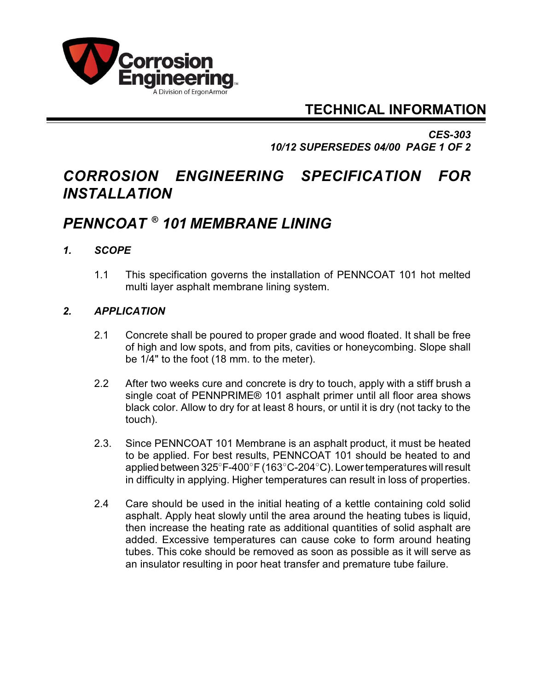

### **TECHNICAL INFORMATION**

*CES-303 10/12 SUPERSEDES 04/00 PAGE 1 OF 2*

# *CORROSION ENGINEERING SPECIFICATION FOR INSTALLATION*

# *PENNCOAT 101 MEMBRANE LINING ®*

### *1. SCOPE*

1.1 This specification governs the installation of PENNCOAT 101 hot melted multi layer asphalt membrane lining system.

#### *2. APPLICATION*

- 2.1 Concrete shall be poured to proper grade and wood floated. It shall be free of high and low spots, and from pits, cavities or honeycombing. Slope shall be 1/4" to the foot (18 mm. to the meter).
- 2.2 After two weeks cure and concrete is dry to touch, apply with a stiff brush a single coat of PENNPRIME® 101 asphalt primer until all floor area shows black color. Allow to dry for at least 8 hours, or until it is dry (not tacky to the touch).
- 2.3. Since PENNCOAT 101 Membrane is an asphalt product, it must be heated to be applied. For best results, PENNCOAT 101 should be heated to and applied between  $325^{\circ}$ F-400 $^{\circ}$ F (163 $^{\circ}$ C-204 $^{\circ}$ C). Lower temperatures will result in difficulty in applying. Higher temperatures can result in loss of properties.
- 2.4 Care should be used in the initial heating of a kettle containing cold solid asphalt. Apply heat slowly until the area around the heating tubes is liquid, then increase the heating rate as additional quantities of solid asphalt are added. Excessive temperatures can cause coke to form around heating tubes. This coke should be removed as soon as possible as it will serve as an insulator resulting in poor heat transfer and premature tube failure.